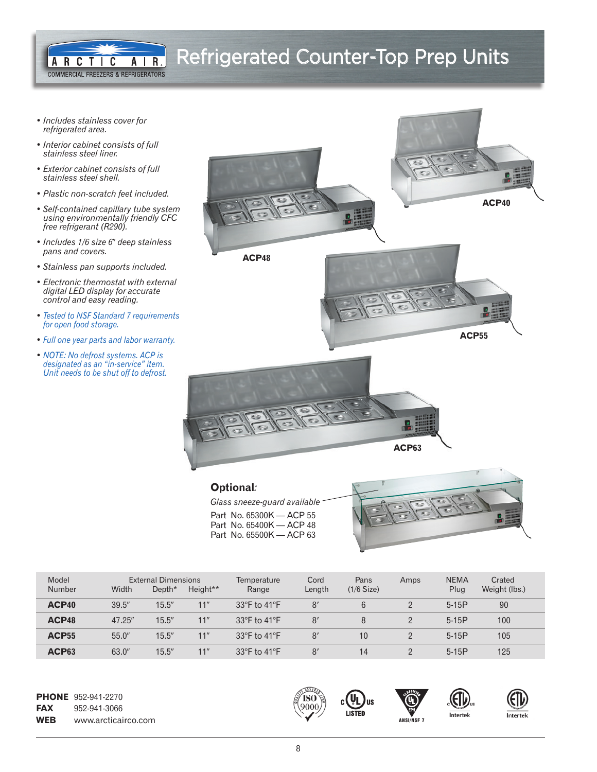## Refrigerated Counter-Top Prep Units

*• Includes stainless cover for refrigerated area.*

ARCTIC

A R

*• Interior cabinet consists of full stainless steel liner.*

**COMMERCIAL FREEZERS & REFRIGERATORS** 

- *Exterior cabinet consists of full stainless steel shell.*
- *Plastic non-scratch feet included.*
- *Self-contained capillary tube system using environmentally friendly CFC free refrigerant (R290).*
- *Includes 1/6 size 6*9 *deep stainless pans and covers.*
- *Stainless pan supports included.*
- *Electronic thermostat with external digital LED display for accurate control and easy reading.*
- *Tested to NSF Standard 7 requirements for open food storage.*
- *Full one year parts and labor warranty.*
- *NOTE: No defrost systems. ACP is designated as an "in-service" item. Unit needs to be shut off to defrost.*



| Model<br>Number | Width  | <b>External Dimensions</b><br>Depth* | Height** | Temperature<br>Range             | Cord<br>Length | Pans<br>$(1/6$ Size) | Amps | <b>NEMA</b><br>Plug | Crated<br>Weight (lbs.) |
|-----------------|--------|--------------------------------------|----------|----------------------------------|----------------|----------------------|------|---------------------|-------------------------|
| ACP40           | 39.5'' | 15.5''                               | 11"      | 33 $\degree$ F to 41 $\degree$ F | 8'             | 6                    | ŋ    | $5-15P$             | 90                      |
| ACP48           | 47.25" | 15.5''                               | 11"      | 33 $\degree$ F to 41 $\degree$ F | 8'             | 8                    |      | $5-15P$             | 100                     |
| <b>ACP55</b>    | 55.0'' | 15.5''                               | 11"      | 33 $\degree$ F to 41 $\degree$ F | 8'             | 10                   | ヮ    | $5-15P$             | 105                     |
| ACP63           | 63.0"  | 15.5''                               | 11"      | 33 $\degree$ F to 41 $\degree$ F | 8'             | 14                   | ŋ    | $5-15P$             | 125                     |

Part No. 65400K — ACP 48 Part No. 65500K — ACP 63

**PHONE** 952-941-2270 **FAX** 952-941-3066 **WEB** www.arcticairco.com **ANSI/NSF 7 ANSI/NSF 7 ANSI/NSF 7** 



<u>UL</u> US

LISTED